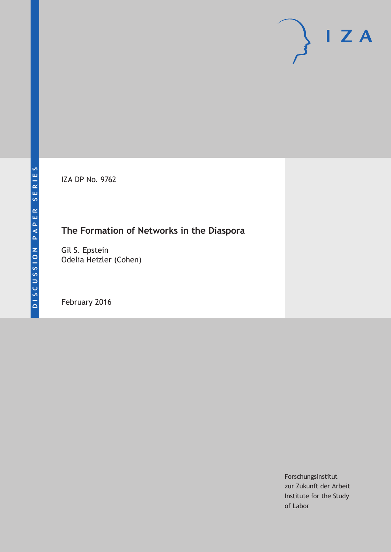IZA DP No. 9762

# **The Formation of Networks in the Diaspora**

Gil S. Epstein Odelia Heizler (Cohen)

February 2016

Forschungsinstitut zur Zukunft der Arbeit Institute for the Study of Labor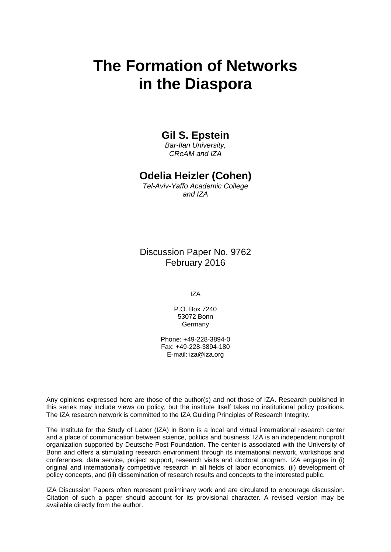# **The Formation of Networks in the Diaspora**

### **Gil S. Epstein**

*Bar-Ilan University, CReAM and IZA* 

### **Odelia Heizler (Cohen)**

*Tel-Aviv-Yaffo Academic College and IZA* 

Discussion Paper No. 9762 February 2016

IZA

P.O. Box 7240 53072 Bonn Germany

Phone: +49-228-3894-0 Fax: +49-228-3894-180 E-mail: iza@iza.org

Any opinions expressed here are those of the author(s) and not those of IZA. Research published in this series may include views on policy, but the institute itself takes no institutional policy positions. The IZA research network is committed to the IZA Guiding Principles of Research Integrity.

The Institute for the Study of Labor (IZA) in Bonn is a local and virtual international research center and a place of communication between science, politics and business. IZA is an independent nonprofit organization supported by Deutsche Post Foundation. The center is associated with the University of Bonn and offers a stimulating research environment through its international network, workshops and conferences, data service, project support, research visits and doctoral program. IZA engages in (i) original and internationally competitive research in all fields of labor economics, (ii) development of policy concepts, and (iii) dissemination of research results and concepts to the interested public.

IZA Discussion Papers often represent preliminary work and are circulated to encourage discussion. Citation of such a paper should account for its provisional character. A revised version may be available directly from the author.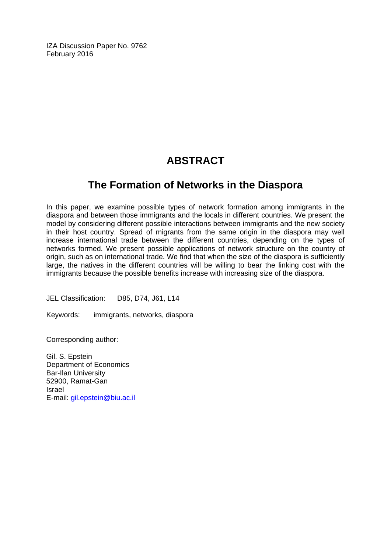IZA Discussion Paper No. 9762 February 2016

# **ABSTRACT**

## **The Formation of Networks in the Diaspora**

In this paper, we examine possible types of network formation among immigrants in the diaspora and between those immigrants and the locals in different countries. We present the model by considering different possible interactions between immigrants and the new society in their host country. Spread of migrants from the same origin in the diaspora may well increase international trade between the different countries, depending on the types of networks formed. We present possible applications of network structure on the country of origin, such as on international trade. We find that when the size of the diaspora is sufficiently large, the natives in the different countries will be willing to bear the linking cost with the immigrants because the possible benefits increase with increasing size of the diaspora.

JEL Classification: D85, D74, J61, L14

Keywords: immigrants, networks, diaspora

Corresponding author:

Gil. S. Epstein Department of Economics Bar-Ilan University 52900, Ramat-Gan Israel E-mail: gil.epstein@biu.ac.il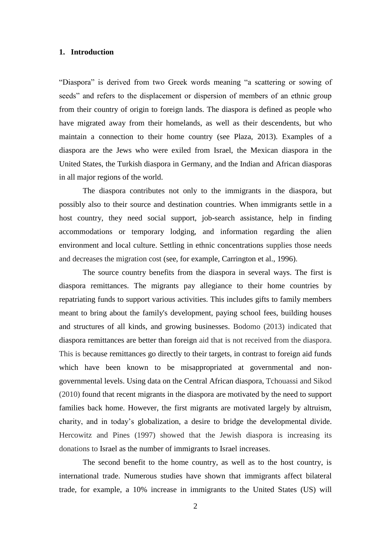#### **1. Introduction**

"Diaspora" is derived from two Greek words meaning "a scattering or sowing of seeds" and refers to the displacement or dispersion of members of an ethnic group from their country of origin to foreign lands. The diaspora is defined as people who have migrated away from their homelands, as well as their descendents, but who maintain a connection to their home country (see Plaza, 2013). Examples of a diaspora are the Jews who were exiled from Israel, the Mexican diaspora in the United States, the Turkish diaspora in Germany, and the Indian and African diasporas in all major regions of the world.

The diaspora contributes not only to the immigrants in the diaspora, but possibly also to their source and destination countries. When immigrants settle in a host country, they need social support, job-search assistance, help in finding accommodations or temporary lodging, and information regarding the alien environment and local culture. Settling in ethnic concentrations supplies those needs and decreases the migration cost (see, for example, Carrington et al., 1996).

The source country benefits from the diaspora in several ways. The first is diaspora remittances. The migrants pay allegiance to their home countries by repatriating funds to support various activities. This includes gifts to family members meant to bring about the family's development, paying school fees, building houses and structures of all kinds, and growing businesses. Bodomo (2013) indicated that diaspora remittances are better than foreign aid that is not received from the diaspora. This is because remittances go directly to their targets, in contrast to foreign aid funds which have been known to be misappropriated at governmental and nongovernmental levels. Using data on the Central African diaspora, Tchouassi and Sikod (2010) found that recent migrants in the diaspora are motivated by the need to support families back home. However, the first migrants are motivated largely by altruism, charity, and in today's globalization, a desire to bridge the developmental divide. Hercowitz and Pines (1997) showed that the Jewish diaspora is increasing its donations to Israel as the number of immigrants to Israel increases.

The second benefit to the home country, as well as to the host country, is international trade. Numerous studies have shown that immigrants affect bilateral trade, for example, a 10% increase in immigrants to the United States (US) will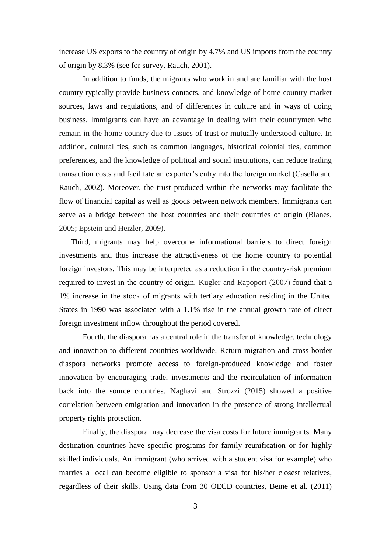increase US exports to the country of origin by 4.7% and US imports from the country of origin by 8.3% (see for survey, Rauch, 2001).

In addition to funds, the migrants who work in and are familiar with the host country typically provide business contacts, and knowledge of home-country market sources, laws and regulations, and of differences in culture and in ways of doing business. Immigrants can have an advantage in dealing with their countrymen who remain in the home country due to issues of trust or mutually understood culture. In addition, cultural ties, such as common languages, historical colonial ties, common preferences, and the knowledge of political and social institutions, can reduce trading transaction costs and facilitate an exporter's entry into the foreign market (Casella and Rauch, 2002). Moreover, the trust produced within the networks may facilitate the flow of financial capital as well as goods between network members. Immigrants can serve as a bridge between the host countries and their countries of origin (Blanes, 2005; Epstein and Heizler, 2009).

Third, migrants may help overcome informational barriers to direct foreign investments and thus increase the attractiveness of the home country to potential foreign investors. This may be interpreted as a reduction in the country-risk premium required to invest in the country of origin. Kugler and Rapoport (2007) found that a 1% increase in the stock of migrants with tertiary education residing in the United States in 1990 was associated with a 1.1% rise in the annual growth rate of direct foreign investment inflow throughout the period covered.

Fourth, the diaspora has a central role in the transfer of knowledge, technology and innovation to different countries worldwide. Return migration and cross-border diaspora networks promote access to foreign-produced knowledge and foster innovation by encouraging trade, investments and the recirculation of information back into the source countries. Naghavi and Strozzi (2015) showed a positive correlation between emigration and innovation in the presence of strong intellectual property rights protection.

Finally, the diaspora may decrease the visa costs for future immigrants. Many destination countries have specific programs for family reunification or for highly skilled individuals. An immigrant (who arrived with a student visa for example) who marries a local can become eligible to sponsor a visa for his/her closest relatives, regardless of their skills. Using data from 30 OECD countries, Beine et al. (2011)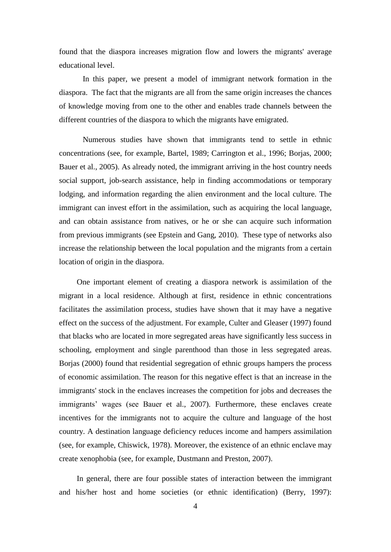found that the diaspora increases migration flow and lowers the migrants' average educational level.

In this paper, we present a model of immigrant network formation in the diaspora. The fact that the migrants are all from the same origin increases the chances of knowledge moving from one to the other and enables trade channels between the different countries of the diaspora to which the migrants have emigrated.

Numerous studies have shown that immigrants tend to settle in ethnic concentrations (see, for example, Bartel, 1989; Carrington et al., 1996; Borjas, 2000; Bauer et al., 2005). As already noted, the immigrant arriving in the host country needs social support, job-search assistance, help in finding accommodations or temporary lodging, and information regarding the alien environment and the local culture. The immigrant can invest effort in the assimilation, such as acquiring the local language, and can obtain assistance from natives, or he or she can acquire such information from previous immigrants (see Epstein and Gang, 2010). These type of networks also increase the relationship between the local population and the migrants from a certain location of origin in the diaspora.

One important element of creating a diaspora network is assimilation of the migrant in a local residence. Although at first, residence in ethnic concentrations facilitates the assimilation process, studies have shown that it may have a negative effect on the success of the adjustment. For example, Culter and Gleaser (1997) found that blacks who are located in more segregated areas have significantly less success in schooling, employment and single parenthood than those in less segregated areas. Borjas (2000) found that residential segregation of ethnic groups hampers the process of economic assimilation. The reason for this negative effect is that an increase in the immigrants' stock in the enclaves increases the competition for jobs and decreases the immigrants' wages (see Bauer et al., 2007). Furthermore, these enclaves create incentives for the immigrants not to acquire the culture and language of the host country. A destination language deficiency reduces income and hampers assimilation (see, for example, Chiswick, 1978). Moreover, the existence of an ethnic enclave may create xenophobia (see, for example, Dustmann and Preston, 2007).

In general, there are four possible states of interaction between the immigrant and his/her host and home societies (or ethnic identification) (Berry, 1997):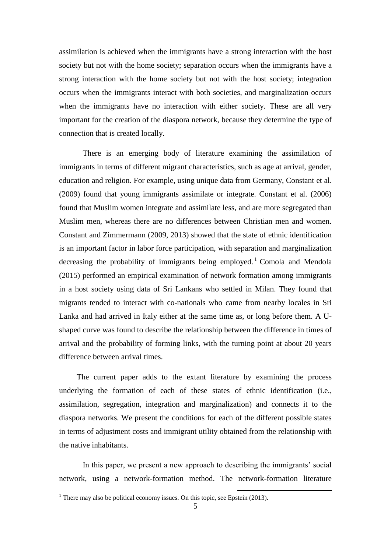assimilation is achieved when the immigrants have a strong interaction with the host society but not with the home society; separation occurs when the immigrants have a strong interaction with the home society but not with the host society; integration occurs when the immigrants interact with both societies, and marginalization occurs when the immigrants have no interaction with either society. These are all very important for the creation of the diaspora network, because they determine the type of connection that is created locally.

There is an emerging body of literature examining the assimilation of immigrants in terms of different migrant characteristics, such as age at arrival, gender, education and religion. For example, using unique data from Germany, Constant et al. (2009) found that young immigrants assimilate or integrate. Constant et al. (2006) found that Muslim women integrate and assimilate less, and are more segregated than Muslim men, whereas there are no differences between Christian men and women. Constant and Zimmermann (2009, 2013) showed that the state of ethnic identification is an important factor in labor force participation, with separation and marginalization decreasing the probability of immigrants being employed.<sup>1</sup> Comola and Mendola (2015) performed an empirical examination of network formation among immigrants in a host society using data of Sri Lankans who settled in Milan. They found that migrants tended to interact with co-nationals who came from nearby locales in Sri Lanka and had arrived in Italy either at the same time as, or long before them. A Ushaped curve was found to describe the relationship between the difference in times of arrival and the probability of forming links, with the turning point at about 20 years difference between arrival times.

The current paper adds to the extant literature by examining the process underlying the formation of each of these states of ethnic identification (i.e., assimilation, segregation, integration and marginalization) and connects it to the diaspora networks. We present the conditions for each of the different possible states in terms of adjustment costs and immigrant utility obtained from the relationship with the native inhabitants.

In this paper, we present a new approach to describing the immigrants' social network, using a network-formation method. The network-formation literature

1

 $1$  There may also be political economy issues. On this topic, see Epstein (2013).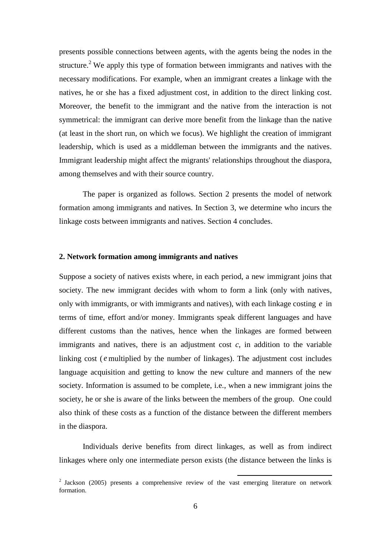presents possible connections between agents, with the agents being the nodes in the structure.<sup>2</sup> We apply this type of formation between immigrants and natives with the necessary modifications. For example, when an immigrant creates a linkage with the natives, he or she has a fixed adjustment cost, in addition to the direct linking cost. Moreover, the benefit to the immigrant and the native from the interaction is not symmetrical: the immigrant can derive more benefit from the linkage than the native (at least in the short run, on which we focus). We highlight the creation of immigrant leadership, which is used as a middleman between the immigrants and the natives. Immigrant leadership might affect the migrants' relationships throughout the diaspora, among themselves and with their source country.

The paper is organized as follows. Section 2 presents the model of network formation among immigrants and natives. In Section 3, we determine who incurs the linkage costs between immigrants and natives. Section 4 concludes.

#### **2. Network formation among immigrants and natives**

Suppose a society of natives exists where, in each period, a new immigrant joins that society. The new immigrant decides with whom to form a link (only with natives, only with immigrants, or with immigrants and natives), with each linkage costing *e* in terms of time, effort and/or money. Immigrants speak different languages and have different customs than the natives, hence when the linkages are formed between immigrants and natives, there is an adjustment cost  $c$ , in addition to the variable linking cost ( *e* multiplied by the number of linkages). The adjustment cost includes language acquisition and getting to know the new culture and manners of the new society. Information is assumed to be complete, i.e., when a new immigrant joins the society, he or she is aware of the links between the members of the group. One could also think of these costs as a function of the distance between the different members in the diaspora.

Individuals derive benefits from direct linkages, as well as from indirect linkages where only one intermediate person exists (the distance between the links is

 $\overline{a}$ 

 $2$  Jackson (2005) presents a comprehensive review of the vast emerging literature on network formation.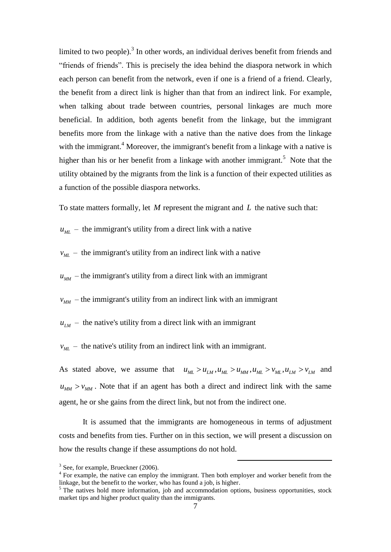limited to two people). $3$  In other words, an individual derives benefit from friends and "friends of friends". This is precisely the idea behind the diaspora network in which each person can benefit from the network, even if one is a friend of a friend. Clearly, the benefit from a direct link is higher than that from an indirect link. For example, when talking about trade between countries, personal linkages are much more beneficial. In addition, both agents benefit from the linkage, but the immigrant benefits more from the linkage with a native than the native does from the linkage with the immigrant.<sup>4</sup> Moreover, the immigrant's benefit from a linkage with a native is higher than his or her benefit from a linkage with another immigrant.<sup>5</sup> Note that the utility obtained by the migrants from the link is a function of their expected utilities as a function of the possible diaspora networks.

To state matters formally, let *M* represent the migrant and *L* the native such that:

- $u_{ML}$  the immigrant's utility from a direct link with a native
- $v_{ML}$  the immigrant's utility from an indirect link with a native
- $u_{MN}$  the immigrant's utility from a direct link with an immigrant
- $v_{MN}$  the immigrant's utility from an indirect link with an immigrant
- $u_{LM}$  the native's utility from a direct link with an immigrant

 $v_{ML}$  – the native's utility from an indirect link with an immigrant.

As stated above, we assume that  $u_{ML} > u_{LM}$ ,  $u_{ML} > u_{MM}$ ,  $u_{ML} > v_{ML}$ ,  $u_{LM} > v_{LM}$  and  $u_{MM} > v_{MM}$ . Note that if an agent has both a direct and indirect link with the same agent, he or she gains from the direct link, but not from the indirect one.

It is assumed that the immigrants are homogeneous in terms of adjustment costs and benefits from ties. Further on in this section, we will present a discussion on how the results change if these assumptions do not hold.

 $\overline{a}$ 

<sup>&</sup>lt;sup>3</sup> See, for example, Brueckner (2006).

<sup>&</sup>lt;sup>4</sup> For example, the native can employ the immigrant. Then both employer and worker benefit from the linkage, but the benefit to the worker, who has found a job, is higher.

 $<sup>5</sup>$  The natives hold more information, job and accommodation options, business opportunities, stock</sup> market tips and higher product quality than the immigrants.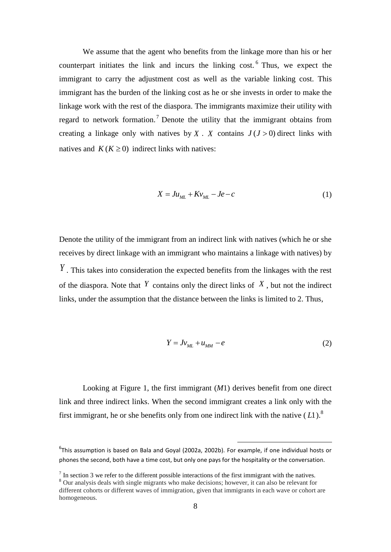We assume that the agent who benefits from the linkage more than his or her counterpart initiates the link and incurs the linking cost. <sup>6</sup> Thus, we expect the immigrant to carry the adjustment cost as well as the variable linking cost. This immigrant has the burden of the linking cost as he or she invests in order to make the linkage work with the rest of the diaspora. The immigrants maximize their utility with regard to network formation.<sup>7</sup> Denote the utility that the immigrant obtains from creating a linkage only with natives by  $X$ .  $X$  contains  $J(J>0)$  direct links with natives and  $K(K \ge 0)$  indirect links with natives:

$$
X = Ju_{ML} + Kv_{ML} - Je - c \tag{1}
$$

Denote the utility of the immigrant from an indirect link with natives (which he or she receives by direct linkage with an immigrant who maintains a linkage with natives) by *Y*. This takes into consideration the expected benefits from the linkages with the rest of the diaspora. Note that  $Y$  contains only the direct links of  $X$ , but not the indirect links, under the assumption that the distance between the links is limited to 2. Thus,

$$
Y = Jv_{ML} + u_{MM} - e \tag{2}
$$

1

Looking at Figure 1, the first immigrant (*M*1) derives benefit from one direct link and three indirect links. When the second immigrant creates a link only with the first immigrant, he or she benefits only from one indirect link with the native  $(L1)$ .<sup>8</sup>

<sup>6</sup> This assumption is based on Bala and Goyal (2002a, 2002b). For example, if one individual hosts or phones the second, both have a time cost, but only one pays for the hospitality or the conversation.

 $<sup>7</sup>$  In section 3 we refer to the different possible interactions of the first immigrant with the natives.</sup> <sup>8</sup> Our analysis deals with single migrants who make decisions; however, it can also be relevant for different cohorts or different waves of immigration, given that immigrants in each wave or cohort are homogeneous.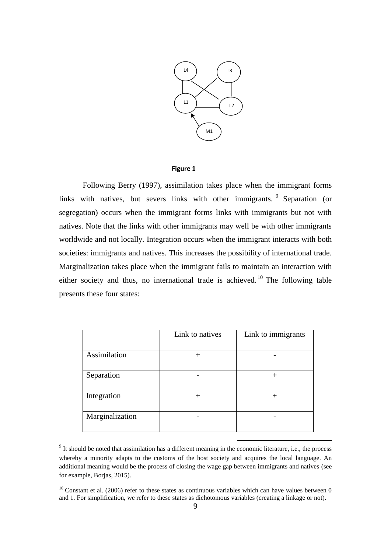

#### **Figure 1**

Following Berry (1997), assimilation takes place when the immigrant forms links with natives, but severs links with other immigrants. <sup>9</sup> Separation (or segregation) occurs when the immigrant forms links with immigrants but not with natives. Note that the links with other immigrants may well be with other immigrants worldwide and not locally. Integration occurs when the immigrant interacts with both societies: immigrants and natives. This increases the possibility of international trade. Marginalization takes place when the immigrant fails to maintain an interaction with either society and thus, no international trade is achieved.<sup>10</sup> The following table presents these four states:

|                 | Link to natives | Link to immigrants |
|-----------------|-----------------|--------------------|
|                 |                 |                    |
| Assimilation    |                 |                    |
|                 |                 |                    |
| Separation      |                 |                    |
| Integration     |                 |                    |
|                 |                 | +                  |
| Marginalization |                 |                    |
|                 |                 |                    |

<sup>&</sup>lt;sup>9</sup> It should be noted that assimilation has a different meaning in the economic literature, i.e., the process whereby a minority adapts to the customs of the host society and acquires the local language. An additional meaning would be the process of closing the wage gap between immigrants and natives (see for example, Borjas, 2015).

 $\overline{a}$ 

 $10$  Constant et al. (2006) refer to these states as continuous variables which can have values between 0 and 1. For simplification, we refer to these states as dichotomous variables (creating a linkage or not).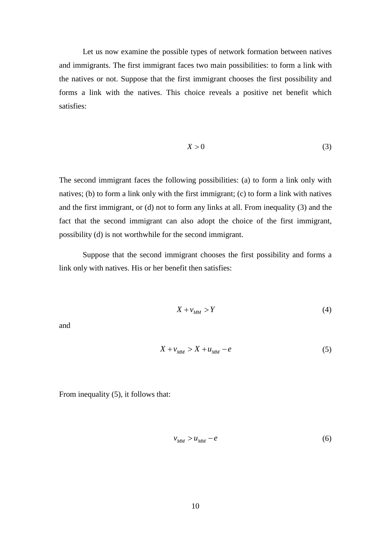Let us now examine the possible types of network formation between natives and immigrants. The first immigrant faces two main possibilities: to form a link with the natives or not. Suppose that the first immigrant chooses the first possibility and forms a link with the natives. This choice reveals a positive net benefit which satisfies:

$$
X > 0 \tag{3}
$$

The second immigrant faces the following possibilities: (a) to form a link only with natives; (b) to form a link only with the first immigrant; (c) to form a link with natives and the first immigrant, or (d) not to form any links at all. From inequality (3) and the fact that the second immigrant can also adopt the choice of the first immigrant, possibility (d) is not worthwhile for the second immigrant.

Suppose that the second immigrant chooses the first possibility and forms a link only with natives. His or her benefit then satisfies:

$$
X + v_{MM} > Y \tag{4}
$$

and

$$
X + v_{MM} > X + u_{MM} - e \tag{5}
$$

From inequality (5), it follows that:

$$
v_{MM} > u_{MM} - e \tag{6}
$$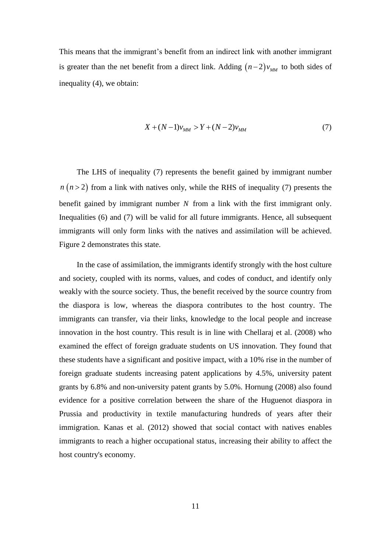This means that the immigrant's benefit from an indirect link with another immigrant is greater than the net benefit from a direct link. Adding  $(n-2)v_{MM}$  to both sides of inequality (4), we obtain:

$$
X + (N-1)v_{MM} > Y + (N-2)v_{MM}
$$
\n(7)

The LHS of inequality (7) represents the benefit gained by immigrant number  $n (n > 2)$  from a link with natives only, while the RHS of inequality (7) presents the benefit gained by immigrant number N from a link with the first immigrant only. Inequalities (6) and (7) will be valid for all future immigrants. Hence, all subsequent immigrants will only form links with the natives and assimilation will be achieved. Figure 2 demonstrates this state.

In the case of assimilation, the immigrants identify strongly with the host culture and society, coupled with its norms, values, and codes of conduct, and identify only weakly with the source society. Thus, the benefit received by the source country from the diaspora is low, whereas the diaspora contributes to the host country. The immigrants can transfer, via their links, knowledge to the local people and increase innovation in the host country. This result is in line with Chellaraj et al. (2008) who examined the effect of foreign graduate students on US innovation. They found that these students have a significant and positive impact, with a 10% rise in the number of foreign graduate students increasing patent applications by 4.5%, university patent grants by 6.8% and non-university patent grants by 5.0%. Hornung (2008) also found evidence for a positive correlation between the share of the Huguenot diaspora in Prussia and productivity in textile manufacturing hundreds of years after their immigration. Kanas et al. (2012) showed that social contact with natives enables immigrants to reach a higher occupational status, increasing their ability to affect the host country's economy.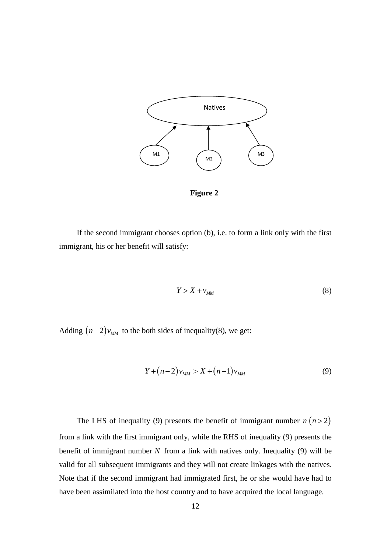

**Figure 2**

If the second immigrant chooses option (b), i.e. to form a link only with the first immigrant, his or her benefit will satisfy:

$$
Y > X + v_{MM} \tag{8}
$$

Adding  $(n-2)v_{MN}$  to the both sides of inequality(8), we get:

$$
Y + (n-2)v_{MM} > X + (n-1)v_{MM}
$$
\n(9)

The LHS of inequality (9) presents the benefit of immigrant number  $n (n > 2)$ from a link with the first immigrant only, while the RHS of inequality (9) presents the benefit of immigrant number  $N$  from a link with natives only. Inequality (9) will be valid for all subsequent immigrants and they will not create linkages with the natives. Note that if the second immigrant had immigrated first, he or she would have had to have been assimilated into the host country and to have acquired the local language.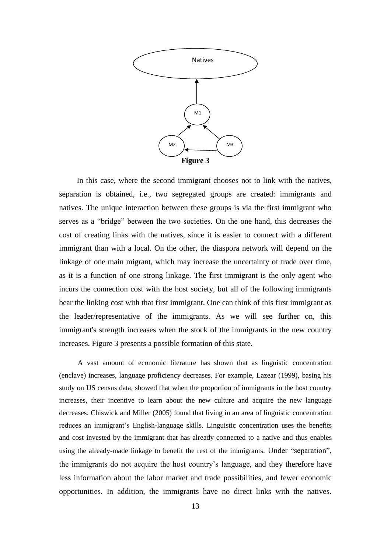

In this case, where the second immigrant chooses not to link with the natives, separation is obtained, i.e., two segregated groups are created: immigrants and natives. The unique interaction between these groups is via the first immigrant who serves as a "bridge" between the two societies. On the one hand, this decreases the cost of creating links with the natives, since it is easier to connect with a different immigrant than with a local. On the other, the diaspora network will depend on the linkage of one main migrant, which may increase the uncertainty of trade over time, as it is a function of one strong linkage. The first immigrant is the only agent who incurs the connection cost with the host society, but all of the following immigrants bear the linking cost with that first immigrant. One can think of this first immigrant as the leader/representative of the immigrants. As we will see further on, this immigrant's strength increases when the stock of the immigrants in the new country increases. Figure 3 presents a possible formation of this state.

A vast amount of economic literature has shown that as linguistic concentration (enclave) increases, language proficiency decreases. For example, Lazear (1999), basing his study on US census data, showed that when the proportion of immigrants in the host country increases, their incentive to learn about the new culture and acquire the new language decreases. Chiswick and Miller (2005) found that living in an area of linguistic concentration reduces an immigrant's English-language skills. Linguistic concentration uses the benefits and cost invested by the immigrant that has already connected to a native and thus enables using the already-made linkage to benefit the rest of the immigrants. Under "separation", the immigrants do not acquire the host country's language, and they therefore have less information about the labor market and trade possibilities, and fewer economic opportunities. In addition, the immigrants have no direct links with the natives.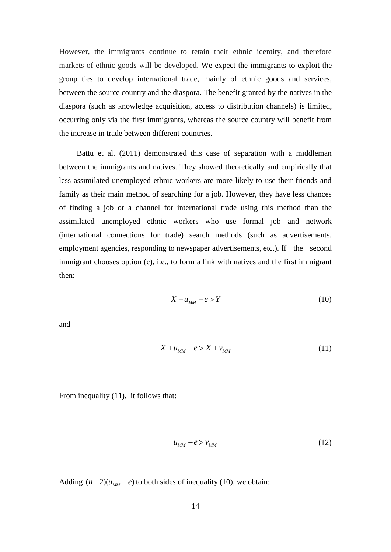However, the immigrants continue to retain their ethnic identity, and therefore markets of ethnic goods will be developed. We expect the immigrants to exploit the group ties to develop international trade, mainly of ethnic goods and services, between the source country and the diaspora. The benefit granted by the natives in the diaspora (such as knowledge acquisition, access to distribution channels) is limited, occurring only via the first immigrants, whereas the source country will benefit from the increase in trade between different countries.

Battu et al. (2011) demonstrated this case of separation with a middleman between the immigrants and natives. They showed theoretically and empirically that less assimilated unemployed ethnic workers are more likely to use their friends and family as their main method of searching for a job. However, they have less chances of finding a job or a channel for international trade using this method than the assimilated unemployed ethnic workers who use formal job and network (international connections for trade) search methods (such as advertisements, employment agencies, responding to newspaper advertisements, etc.). If the second immigrant chooses option (c), i.e., to form a link with natives and the first immigrant then:

$$
X + u_{MM} - e > Y \tag{10}
$$

and

$$
X + u_{MM} - e > X + v_{MM} \tag{11}
$$

From inequality (11), it follows that:

$$
u_{MM} - e > v_{MM} \tag{12}
$$

Adding  $(n-2)(u_{MM} - e)$  to both sides of inequality (10), we obtain: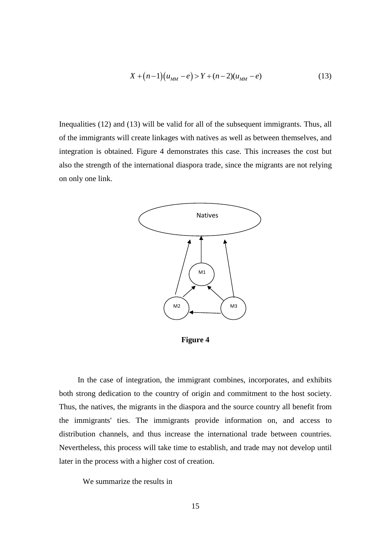$$
X + (n-1)(u_{MM} - e) > Y + (n-2)(u_{MM} - e)
$$
\n(13)

Inequalities (12) and (13) will be valid for all of the subsequent immigrants. Thus, all of the immigrants will create linkages with natives as well as between themselves, and integration is obtained. Figure 4 demonstrates this case. This increases the cost but also the strength of the international diaspora trade, since the migrants are not relying on only one link.



**Figure 4**

In the case of integration, the immigrant combines, incorporates, and exhibits both strong dedication to the country of origin and commitment to the host society. Thus, the natives, the migrants in the diaspora and the source country all benefit from the immigrants' ties. The immigrants provide information on, and access to distribution channels, and thus increase the international trade between countries. Nevertheless, this process will take time to establish, and trade may not develop until later in the process with a higher cost of creation.

We summarize the results in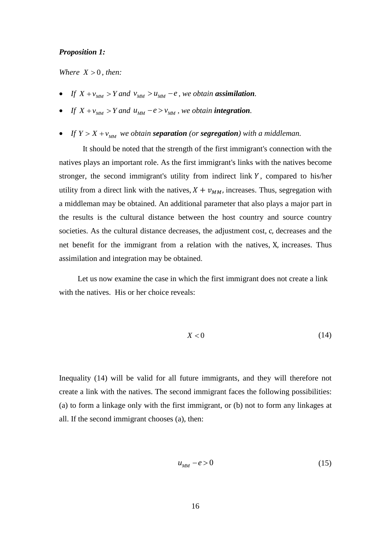#### *Proposition 1:*

*Where*  $X > 0$ *, then:* 

- If  $X + v_{MN} > Y$  and  $v_{MN} > u_{MN} e$ , we obtain **assimilation**.
- If  $X + v_{MM} > Y$  and  $u_{MM} e > v_{MM}$ , we obtain **integration**.
- If  $Y > X + v_{MN}$  we obtain *separation* (or *segregation*) with a middleman.

It should be noted that the strength of the first immigrant's connection with the natives plays an important role. As the first immigrant's links with the natives become stronger, the second immigrant's utility from indirect link  $Y$ , compared to his/her utility from a direct link with the natives,  $X + v_{MM}$ , increases. Thus, segregation with a middleman may be obtained. An additional parameter that also plays a major part in the results is the cultural distance between the host country and source country societies. As the cultural distance decreases, the adjustment cost, c, decreases and the net benefit for the immigrant from a relation with the natives, X, increases. Thus assimilation and integration may be obtained.

Let us now examine the case in which the first immigrant does not create a link with the natives. His or her choice reveals:

$$
X < 0 \tag{14}
$$

Inequality (14) will be valid for all future immigrants, and they will therefore not create a link with the natives. The second immigrant faces the following possibilities: (a) to form a linkage only with the first immigrant, or (b) not to form any linkages at all. If the second immigrant chooses (a), then:

$$
u_{MM} - e > 0 \tag{15}
$$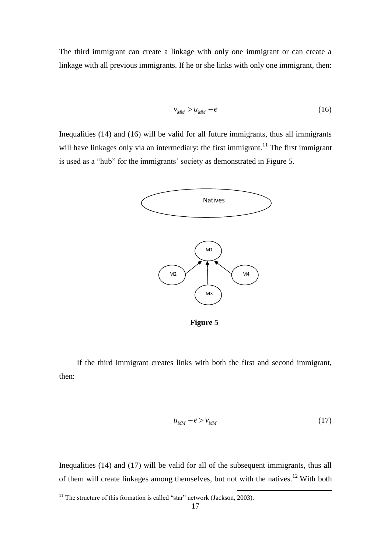The third immigrant can create a linkage with only one immigrant or can create a linkage with all previous immigrants. If he or she links with only one immigrant, then:

$$
v_{MM} > u_{MM} - e \tag{16}
$$

Inequalities (14) and (16) will be valid for all future immigrants, thus all immigrants will have linkages only via an intermediary: the first immigrant.<sup>11</sup> The first immigrant is used as a "hub" for the immigrants' society as demonstrated in Figure 5.



**Figure 5**

If the third immigrant creates links with both the first and second immigrant, then:

$$
u_{MM} - e > v_{MM} \tag{17}
$$

1

Inequalities (14) and (17) will be valid for all of the subsequent immigrants, thus all of them will create linkages among themselves, but not with the natives.<sup>12</sup> With both

 $11$  The structure of this formation is called "star" network (Jackson, 2003).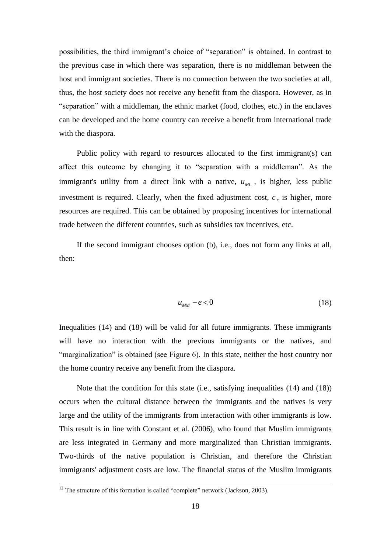possibilities, the third immigrant's choice of "separation" is obtained. In contrast to the previous case in which there was separation, there is no middleman between the host and immigrant societies. There is no connection between the two societies at all, thus, the host society does not receive any benefit from the diaspora. However, as in "separation" with a middleman, the ethnic market (food, clothes, etc.) in the enclaves can be developed and the home country can receive a benefit from international trade with the diaspora.

Public policy with regard to resources allocated to the first immigrant(s) can affect this outcome by changing it to "separation with a middleman". As the immigrant's utility from a direct link with a native,  $u_{ML}$ , is higher, less public investment is required. Clearly, when the fixed adjustment cost,  $c$ , is higher, more resources are required. This can be obtained by proposing incentives for international trade between the different countries, such as subsidies tax incentives, etc.

If the second immigrant chooses option (b), i.e., does not form any links at all, then:

$$
u_{MM} - e < 0 \tag{18}
$$

Inequalities (14) and (18) will be valid for all future immigrants. These immigrants will have no interaction with the previous immigrants or the natives, and "marginalization" is obtained (see Figure 6). In this state, neither the host country nor the home country receive any benefit from the diaspora.

Note that the condition for this state (i.e., satisfying inequalities (14) and (18)) occurs when the cultural distance between the immigrants and the natives is very large and the utility of the immigrants from interaction with other immigrants is low. This result is in line with Constant et al. (2006), who found that Muslim immigrants are less integrated in Germany and more marginalized than Christian immigrants. Two-thirds of the native population is Christian, and therefore the Christian immigrants' adjustment costs are low. The financial status of the Muslim immigrants

 $\overline{\phantom{a}}$ 

 $12$  The structure of this formation is called "complete" network (Jackson, 2003).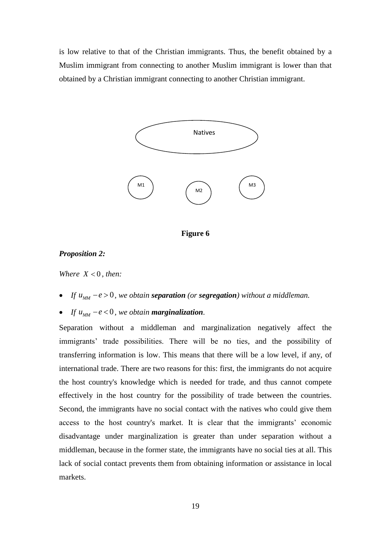is low relative to that of the Christian immigrants. Thus, the benefit obtained by a Muslim immigrant from connecting to another Muslim immigrant is lower than that obtained by a Christian immigrant connecting to another Christian immigrant.





#### *Proposition 2:*

*Where*  $X < 0$ *, then:* 

- If  $u_{MN} e > 0$ , we obtain **separation** (or **segregation**) without a middleman.
- If  $u_{MM} e < 0$ , we obtain *marginalization*.

Separation without a middleman and marginalization negatively affect the immigrants' trade possibilities. There will be no ties, and the possibility of transferring information is low. This means that there will be a low level, if any, of international trade. There are two reasons for this: first, the immigrants do not acquire the host country's knowledge which is needed for trade, and thus cannot compete effectively in the host country for the possibility of trade between the countries. Second, the immigrants have no social contact with the natives who could give them access to the host country's market. It is clear that the immigrants' economic disadvantage under marginalization is greater than under separation without a middleman, because in the former state, the immigrants have no social ties at all. This lack of social contact prevents them from obtaining information or assistance in local markets.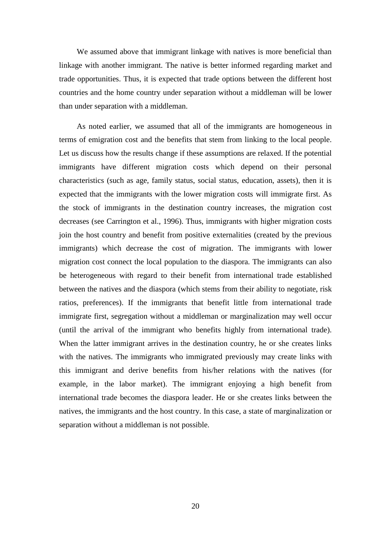We assumed above that immigrant linkage with natives is more beneficial than linkage with another immigrant. The native is better informed regarding market and trade opportunities. Thus, it is expected that trade options between the different host countries and the home country under separation without a middleman will be lower than under separation with a middleman.

As noted earlier, we assumed that all of the immigrants are homogeneous in terms of emigration cost and the benefits that stem from linking to the local people. Let us discuss how the results change if these assumptions are relaxed. If the potential immigrants have different migration costs which depend on their personal characteristics (such as age, family status, social status, education, assets), then it is expected that the immigrants with the lower migration costs will immigrate first. As the stock of immigrants in the destination country increases, the migration cost decreases (see Carrington et al., 1996). Thus, immigrants with higher migration costs join the host country and benefit from positive externalities (created by the previous immigrants) which decrease the cost of migration. The immigrants with lower migration cost connect the local population to the diaspora. The immigrants can also be heterogeneous with regard to their benefit from international trade established between the natives and the diaspora (which stems from their ability to negotiate, risk ratios, preferences). If the immigrants that benefit little from international trade immigrate first, segregation without a middleman or marginalization may well occur (until the arrival of the immigrant who benefits highly from international trade). When the latter immigrant arrives in the destination country, he or she creates links with the natives. The immigrants who immigrated previously may create links with this immigrant and derive benefits from his/her relations with the natives (for example, in the labor market). The immigrant enjoying a high benefit from international trade becomes the diaspora leader. He or she creates links between the natives, the immigrants and the host country. In this case, a state of marginalization or separation without a middleman is not possible.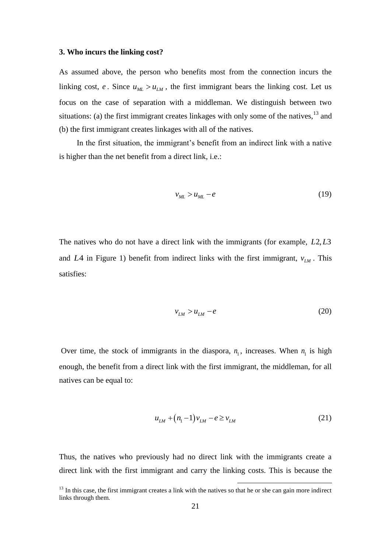#### **3. Who incurs the linking cost?**

As assumed above, the person who benefits most from the connection incurs the linking cost, *e*. Since  $u_{ML} > u_{LM}$ , the first immigrant bears the linking cost. Let us focus on the case of separation with a middleman. We distinguish between two situations: (a) the first immigrant creates linkages with only some of the natives, $13$  and (b) the first immigrant creates linkages with all of the natives.

In the first situation, the immigrant's benefit from an indirect link with a native is higher than the net benefit from a direct link, i.e.:

$$
v_{ML} > u_{ML} - e \tag{19}
$$

The natives who do not have a direct link with the immigrants (for example, L2, L3 and  $L4$  in Figure 1) benefit from indirect links with the first immigrant,  $v_{LM}$ . This satisfies:

$$
v_{LM} > u_{LM} - e \tag{20}
$$

Over time, the stock of immigrants in the diaspora,  $n_1$ , increases. When  $n_1$  is high enough, the benefit from a direct link with the first immigrant, the middleman, for all natives can be equal to:

$$
u_{LM} + (n_1 - 1)v_{LM} - e \ge v_{LM}
$$
 (21)

1

Thus, the natives who previously had no direct link with the immigrants create a direct link with the first immigrant and carry the linking costs. This is because the

 $13$  In this case, the first immigrant creates a link with the natives so that he or she can gain more indirect links through them.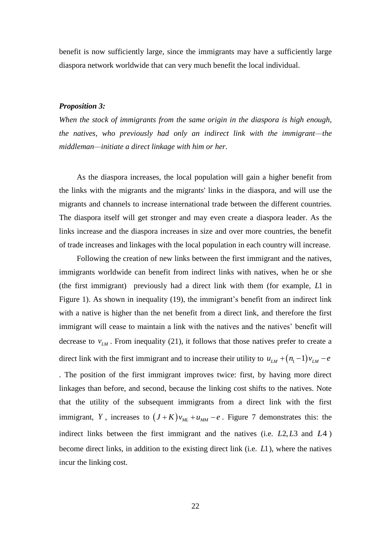benefit is now sufficiently large, since the immigrants may have a sufficiently large diaspora network worldwide that can very much benefit the local individual.

#### *Proposition 3:*

*When the stock of immigrants from the same origin in the diaspora is high enough, the natives, who previously had only an indirect link with the immigrant—the middleman—initiate a direct linkage with him or her.*

As the diaspora increases, the local population will gain a higher benefit from the links with the migrants and the migrants' links in the diaspora, and will use the migrants and channels to increase international trade between the different countries. The diaspora itself will get stronger and may even create a diaspora leader. As the links increase and the diaspora increases in size and over more countries, the benefit of trade increases and linkages with the local population in each country will increase.

Following the creation of new links between the first immigrant and the natives, immigrants worldwide can benefit from indirect links with natives, when he or she (the first immigrant) previously had a direct link with them (for example, *L*1 in Figure 1). As shown in inequality (19), the immigrant's benefit from an indirect link with a native is higher than the net benefit from a direct link, and therefore the first immigrant will cease to maintain a link with the natives and the natives' benefit will decrease to  $v_{LM}$ . From inequality (21), it follows that those natives prefer to create a direct link with the first immigrant and to increase their utility to  $u_{LM} + (n_1 - 1)v_{LM} - e$ . The position of the first immigrant improves twice: first, by having more direct linkages than before, and second, because the linking cost shifts to the natives. Note that the utility of the subsequent immigrants from a direct link with the first immigrant, *Y*, increases to  $(J+K)v_{ML} + u_{MM} - e$ . Figure 7 demonstrates this: the indirect links between the first immigrant and the natives (i.e.  $L2, L3$  and  $L4$ ) become direct links, in addition to the existing direct link (i.e. *L*1 ), where the natives incur the linking cost.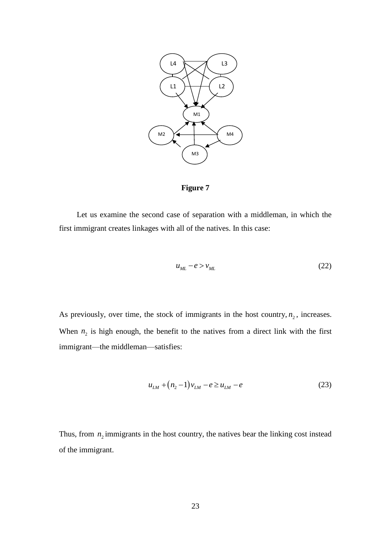

**Figure 7**

Let us examine the second case of separation with a middleman, in which the first immigrant creates linkages with all of the natives. In this case:

$$
u_{ML} - e > v_{ML} \tag{22}
$$

As previously, over time, the stock of immigrants in the host country,  $n_2$ , increases. When  $n_2$  is high enough, the benefit to the natives from a direct link with the first immigrant—the middleman—satisfies:

$$
u_{LM} + (n_2 - 1)v_{LM} - e \ge u_{LM} - e \tag{23}
$$

Thus, from  $n_2$  immigrants in the host country, the natives bear the linking cost instead of the immigrant.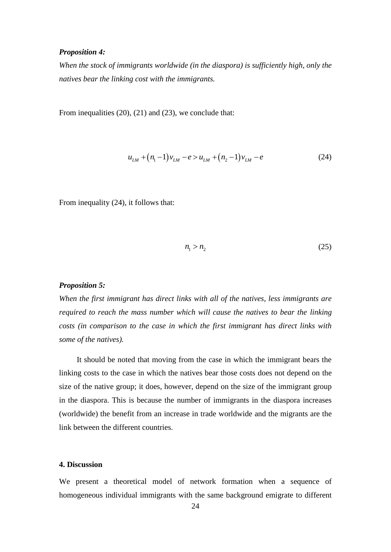#### *Proposition 4:*

*When the stock of immigrants worldwide (in the diaspora) is sufficiently high, only the natives bear the linking cost with the immigrants.*

From inequalities (20), (21) and (23), we conclude that:

$$
u_{LM} + (n_1 - 1)v_{LM} - e > u_{LM} + (n_2 - 1)v_{LM} - e \tag{24}
$$

From inequality (24), it follows that:

$$
n_1 > n_2 \tag{25}
$$

#### *Proposition 5:*

*When the first immigrant has direct links with all of the natives, less immigrants are required to reach the mass number which will cause the natives to bear the linking costs (in comparison to the case in which the first immigrant has direct links with some of the natives).*

It should be noted that moving from the case in which the immigrant bears the linking costs to the case in which the natives bear those costs does not depend on the size of the native group; it does, however, depend on the size of the immigrant group in the diaspora. This is because the number of immigrants in the diaspora increases (worldwide) the benefit from an increase in trade worldwide and the migrants are the link between the different countries.

#### **4. Discussion**

We present a theoretical model of network formation when a sequence of homogeneous individual immigrants with the same background emigrate to different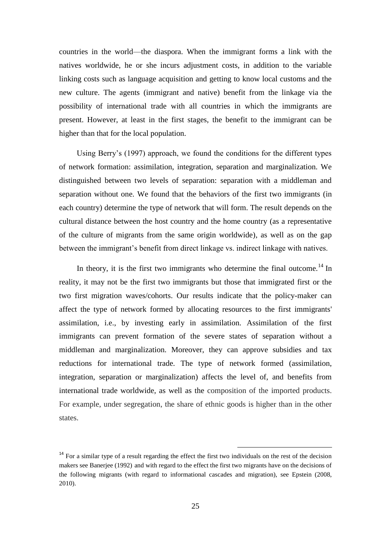countries in the world—the diaspora. When the immigrant forms a link with the natives worldwide, he or she incurs adjustment costs, in addition to the variable linking costs such as language acquisition and getting to know local customs and the new culture. The agents (immigrant and native) benefit from the linkage via the possibility of international trade with all countries in which the immigrants are present. However, at least in the first stages, the benefit to the immigrant can be higher than that for the local population.

Using Berry's (1997) approach, we found the conditions for the different types of network formation: assimilation, integration, separation and marginalization. We distinguished between two levels of separation: separation with a middleman and separation without one. We found that the behaviors of the first two immigrants (in each country) determine the type of network that will form. The result depends on the cultural distance between the host country and the home country (as a representative of the culture of migrants from the same origin worldwide), as well as on the gap between the immigrant's benefit from direct linkage vs. indirect linkage with natives.

In theory, it is the first two immigrants who determine the final outcome.<sup>14</sup> In reality, it may not be the first two immigrants but those that immigrated first or the two first migration waves/cohorts. Our results indicate that the policy-maker can affect the type of network formed by allocating resources to the first immigrants' assimilation, i.e., by investing early in assimilation. Assimilation of the first immigrants can prevent formation of the severe states of separation without a middleman and marginalization. Moreover, they can approve subsidies and tax reductions for international trade. The type of network formed (assimilation, integration, separation or marginalization) affects the level of, and benefits from international trade worldwide, as well as the composition of the imported products. For example, under segregation, the share of ethnic goods is higher than in the other states.

 $\overline{a}$ 

 $14$  For a similar type of a result regarding the effect the first two individuals on the rest of the decision makers see Banerjee (1992) and with regard to the effect the first two migrants have on the decisions of the following migrants (with regard to informational cascades and migration), see Epstein (2008, 2010).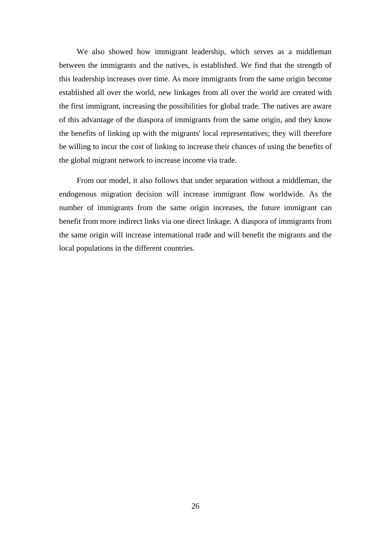We also showed how immigrant leadership, which serves as a middleman between the immigrants and the natives, is established. We find that the strength of this leadership increases over time. As more immigrants from the same origin become established all over the world, new linkages from all over the world are created with the first immigrant, increasing the possibilities for global trade. The natives are aware of this advantage of the diaspora of immigrants from the same origin, and they know the benefits of linking up with the migrants' local representatives; they will therefore be willing to incur the cost of linking to increase their chances of using the benefits of the global migrant network to increase income via trade.

From our model, it also follows that under separation without a middleman, the endogenous migration decision will increase immigrant flow worldwide. As the number of immigrants from the same origin increases, the future immigrant can benefit from more indirect links via one direct linkage. A diaspora of immigrants from the same origin will increase international trade and will benefit the migrants and the local populations in the different countries.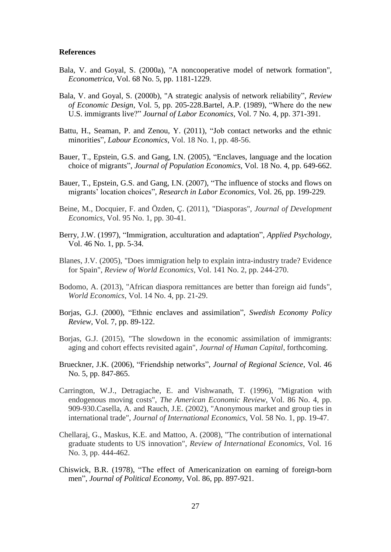#### **References**

- Bala, V. and Goyal, S. (2000a), "A noncooperative model of network formation", *Econometrica*, Vol. 68 No. 5, pp. 1181-1229.
- Bala, V. and Goyal, S. (2000b), "A strategic analysis of network reliability", *Review of Economic Design*, Vol. 5, pp. 205-228.Bartel, A.P. (1989), "Where do the new U.S. immigrants live?" *Journal of Labor Economics*, Vol. 7 No. 4, pp. 371-391.
- Battu, H., Seaman, P. and Zenou, Y. (2011), "Job contact networks and the ethnic minorities", *[Labour Economics](http://www.sciencedirect.com/science/journal/09275371)*, Vol. 18 No. 1, pp. 48-56.
- Bauer, T., Epstein, G.S. and Gang, I.N. (2005), "Enclaves, language and the location choice of migrants", *Journal of Population Economics,* Vol. 18 No. 4, pp. 649-662.
- Bauer, T., Epstein, G.S. and Gang, I.N. (2007), "The influence of stocks and flows on migrants' location choices", *Research in Labor Economics*, Vol. 26, pp. 199-229.
- Beine, M., Docquier, F. and Özden, Ç. (2011), "Diasporas", *Journal of Development Economics*, Vol. 95 No. 1, pp. 30-41.
- Berry, J.W. (1997), "Immigration, acculturation and adaptation", *Applied Psychology,*  Vol. 46 No. 1, pp. 5-34.
- Blanes, J.V. (2005), "Does immigration help to explain intra-industry trade? Evidence for Spain", *Review of World Economics*, Vol. 141 No. 2, pp. 244-270.
- Bodomo, A. (2013), "African diaspora remittances are better than foreign aid funds", *World Economics*, Vol. 14 No. 4, pp. 21-29.
- Borjas, G.J. (2000), "Ethnic enclaves and assimilation", *Swedish Economy Policy Review,* Vol. 7, pp. 89-122.
- Borjas, G.J. (2015), "The slowdown in the economic assimilation of immigrants: aging and cohort effects revisited again", *Journal of Human Capital*, forthcoming.
- Brueckner, J.K. (2006), "Friendship networks", *Journal of Regional Science*, Vol. 46 No. 5, pp. 847-865.
- Carrington, W.J., Detragiache, E. and Vishwanath, T. (1996), "Migration with endogenous moving costs", *The American Economic Review*, Vol. 86 No. 4, pp. 909-930.Casella, A. and Rauch, J.E. (2002), "Anonymous market and group ties in international trade", *Journal of International Economics*, Vol. 58 No. 1, pp. 19-47.
- Chellaraj, G., Maskus, K.E. and Mattoo, A. (2008), "The contribution of international graduate students to US innovation", *Review of International Economics*, Vol. 16 No. 3, pp. 444-462.
- Chiswick, B.R. (1978), "The effect of Americanization on earning of foreign-born men", *Journal of Political Economy,* Vol. 86, pp. 897-921.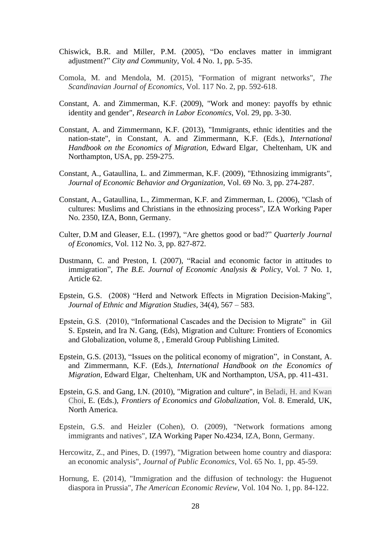- Chiswick, B.R. and Miller, P.M. (2005), "Do enclaves matter in immigrant adjustment?" *City and Community*, Vol. 4 No. 1, pp. 5-35.
- Comola, M. and Mendola, M. (2015), "Formation of migrant networks", *The Scandinavian Journal of Economics*, Vol. 117 No. 2, pp. 592-618.
- Constant, A. and Zimmerman, K.F. (2009), "Work and money: payoffs by ethnic identity and gender", *Research in Labor Economics*, Vol. 29, pp. 3-30.
- Constant, A. and Zimmermann, K.F. (2013), "Immigrants, ethnic identities and the nation-state", in Constant, A. and Zimmermann, K.F. (Eds.), *International Handbook on the Economics of Migration,* Edward Elgar, Cheltenham, UK and Northampton, USA, pp. 259-275.
- Constant, A., Gataullina, L. and Zimmerman, K.F. (2009), "Ethnosizing immigrants", *Journal of Economic Behavior and Organization*, Vol. 69 No. 3, pp. 274-287.
- Constant, A., Gataullina, L., Zimmerman, K.F. and Zimmerman, L. (2006), "Clash of cultures: Muslims and Christians in the ethnosizing process", IZA Working Paper No. 2350, IZA, Bonn, Germany.
- Culter, D.M and Gleaser, E.L. (1997), "Are ghettos good or bad?" *Quarterly Journal of Economics,* Vol. 112 No. 3, pp. 827-872.
- Dustmann, C. and Preston, I. (2007), "Racial and economic factor in attitudes to immigration", *The B.E. Journal of Economic Analysis & Polic*y, Vol. 7 No. 1, Article 62.
- Epstein, G.S. (2008) "Herd and Network Effects in Migration Decision-Making", *Journal of Ethnic and Migration Studies*, 34(4), 567 – 583.
- Epstein, G.S. (2010), "Informational Cascades and the Decision to Migrate" in Gil S. Epstein, and Ira N. Gang, (Eds), Migration and Culture: Frontiers of Economics and Globalization, volume 8, , Emerald Group Publishing Limited.
- Epstein, G.S. (2013), "Issues on the political economy of migration", in Constant, A. and Zimmermann, K.F. (Eds.), *International Handbook on the Economics of Migration,* Edward Elgar, Cheltenham, UK and Northampton, USA, pp. 411-431.
- Epstein, G.S. and Gang, I.N. (2010), "Migration and culture", in Beladi, H. and Kwan Choi, E. (Eds.), *Frontiers of Economics and Globalization*, Vol. 8. Emerald, UK, North America.
- Epstein, G.S. and Heizler (Cohen), O. (2009), "Network formations among immigrants and natives", IZA Working Paper No.4234, IZA, Bonn, Germany.
- Hercowitz, Z., and Pines, D. (1997), "Migration between home country and diaspora: an economic analysis", *Journal of Public Economics*, Vol. 65 No. 1, pp. 45-59.
- Hornung, E. (2014), "Immigration and the diffusion of technology: the Huguenot diaspora in Prussia", *The American Economic Review*, Vol. 104 No. 1, pp. 84-122.